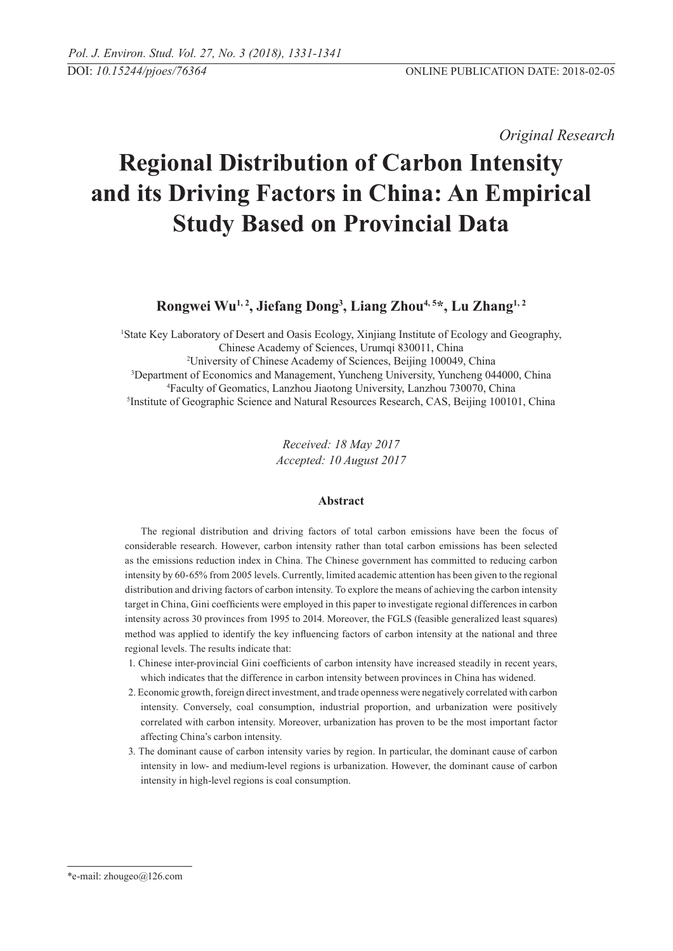*Original Research* 

# **Regional Distribution of Carbon Intensity and its Driving Factors in China: An Empirical Study Based on Provincial Data**

# **Rongwei Wu1, 2, Jiefang Dong3 , Liang Zhou4, 5\*, Lu Zhang1, 2**

 State Key Laboratory of Desert and Oasis Ecology, Xinjiang Institute of Ecology and Geography, Chinese Academy of Sciences, Urumqi 830011, China University of Chinese Academy of Sciences, Beijing 100049, China Department of Economics and Management, Yuncheng University, Yuncheng 044000, China Faculty of Geomatics, Lanzhou Jiaotong University, Lanzhou 730070, China Institute of Geographic Science and Natural Resources Research, CAS, Beijing 100101, China

> *Received: 18 May 2017 Accepted: 10 August 2017*

# **Abstract**

The regional distribution and driving factors of total carbon emissions have been the focus of considerable research. However, carbon intensity rather than total carbon emissions has been selected as the emissions reduction index in China. The Chinese government has committed to reducing carbon intensity by 60-65% from 2005 levels. Currently, limited academic attention has been given to the regional distribution and driving factors of carbon intensity. To explore the means of achieving the carbon intensity target in China, Gini coefficients were employed in this paper to investigate regional differences in carbon intensity across 30 provinces from 1995 to 2014. Moreover, the FGLS (feasible generalized least squares) method was applied to identify the key influencing factors of carbon intensity at the national and three regional levels. The results indicate that:

- 1. Chinese inter-provincial Gini coefficients of carbon intensity have increased steadily in recent years, which indicates that the difference in carbon intensity between provinces in China has widened.
- 2. Economic growth, foreign direct investment, and trade openness were negatively correlated with carbon intensity. Conversely, coal consumption, industrial proportion, and urbanization were positively correlated with carbon intensity. Moreover, urbanization has proven to be the most important factor affecting China's carbon intensity.
- 3. The dominant cause of carbon intensity varies by region. In particular, the dominant cause of carbon intensity in low- and medium-level regions is urbanization. However, the dominant cause of carbon intensity in high-level regions is coal consumption.

<sup>\*</sup>e-mail: zhougeo@126.com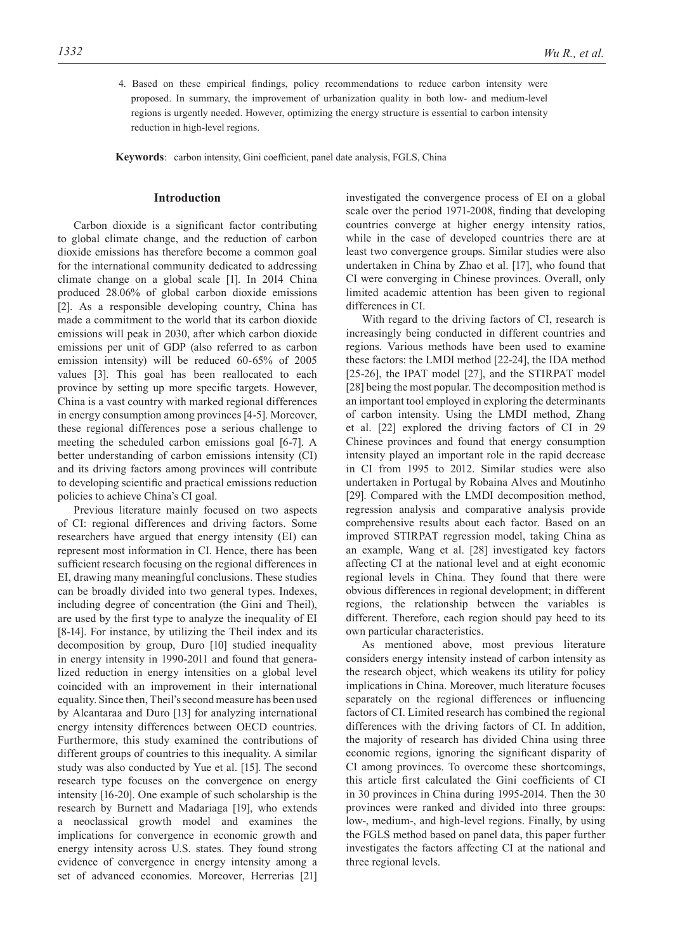4. Based on these empirical findings, policy recommendations to reduce carbon intensity were proposed. In summary, the improvement of urbanization quality in both low- and medium-level regions is urgently needed. However, optimizing the energy structure is essential to carbon intensity reduction in high-level regions.

**Keywords**: carbon intensity, Gini coefficient, panel date analysis, FGLS, China

#### **Introduction**

Carbon dioxide is a significant factor contributing to global climate change, and the reduction of carbon dioxide emissions has therefore become a common goal for the international community dedicated to addressing climate change on a global scale [1]. In 2014 China produced 28.06% of global carbon dioxide emissions [2]. As a responsible developing country, China has made a commitment to the world that its carbon dioxide emissions will peak in 2030, after which carbon dioxide emissions per unit of GDP (also referred to as carbon emission intensity) will be reduced 60-65% of 2005 values [3]. This goal has been reallocated to each province by setting up more specific targets. However, China is a vast country with marked regional differences in energy consumption among provinces [4-5]. Moreover, these regional differences pose a serious challenge to meeting the scheduled carbon emissions goal [6-7]. A better understanding of carbon emissions intensity (CI) and its driving factors among provinces will contribute to developing scientific and practical emissions reduction policies to achieve China's CI goal.

Previous literature mainly focused on two aspects of CI: regional differences and driving factors. Some researchers have argued that energy intensity (EI) can represent most information in CI. Hence, there has been sufficient research focusing on the regional differences in EI, drawing many meaningful conclusions. These studies can be broadly divided into two general types. Indexes, including degree of concentration (the Gini and Theil), are used by the first type to analyze the inequality of EI [8-14]. For instance, by utilizing the Theil index and its decomposition by group, Duro [10] studied inequality in energy intensity in 1990-2011 and found that generalized reduction in energy intensities on a global level coincided with an improvement in their international equality. Since then, Theil's second measure has been used by Alcantaraa and Duro [13] for analyzing international energy intensity differences between OECD countries. Furthermore, this study examined the contributions of different groups of countries to this inequality. A similar study was also conducted by Yue et al. [15]. The second research type focuses on the convergence on energy intensity [16-20]. One example of such scholarship is the research by Burnett and Madariaga [19], who extends a neoclassical growth model and examines the implications for convergence in economic growth and energy intensity across U.S. states. They found strong evidence of convergence in energy intensity among a set of advanced economies. Moreover, Herrerias [21]

investigated the convergence process of EI on a global scale over the period 1971-2008, finding that developing countries converge at higher energy intensity ratios, while in the case of developed countries there are at least two convergence groups. Similar studies were also undertaken in China by Zhao et al. [17], who found that CI were converging in Chinese provinces. Overall, only limited academic attention has been given to regional differences in CI.

With regard to the driving factors of CI, research is increasingly being conducted in different countries and regions. Various methods have been used to examine these factors: the LMDI method [22-24], the IDA method [25-26], the IPAT model [27], and the STIRPAT model [28] being the most popular. The decomposition method is an important tool employed in exploring the determinants of carbon intensity. Using the LMDI method, Zhang et al. [22] explored the driving factors of CI in 29 Chinese provinces and found that energy consumption intensity played an important role in the rapid decrease in CI from 1995 to 2012. Similar studies were also undertaken in Portugal by Robaina Alves and Moutinho [29]. Compared with the LMDI decomposition method, regression analysis and comparative analysis provide comprehensive results about each factor. Based on an improved STIRPAT regression model, taking China as an example, Wang et al. [28] investigated key factors affecting CI at the national level and at eight economic regional levels in China. They found that there were obvious differences in regional development; in different regions, the relationship between the variables is different. Therefore, each region should pay heed to its own particular characteristics.

As mentioned above, most previous literature considers energy intensity instead of carbon intensity as the research object, which weakens its utility for policy implications in China. Moreover, much literature focuses separately on the regional differences or influencing factors of CI. Limited research has combined the regional differences with the driving factors of CI. In addition, the majority of research has divided China using three economic regions, ignoring the significant disparity of CI among provinces. To overcome these shortcomings, this article first calculated the Gini coefficients of CI in 30 provinces in China during 1995-2014. Then the 30 provinces were ranked and divided into three groups: low-, medium-, and high-level regions. Finally, by using the FGLS method based on panel data, this paper further investigates the factors affecting CI at the national and three regional levels.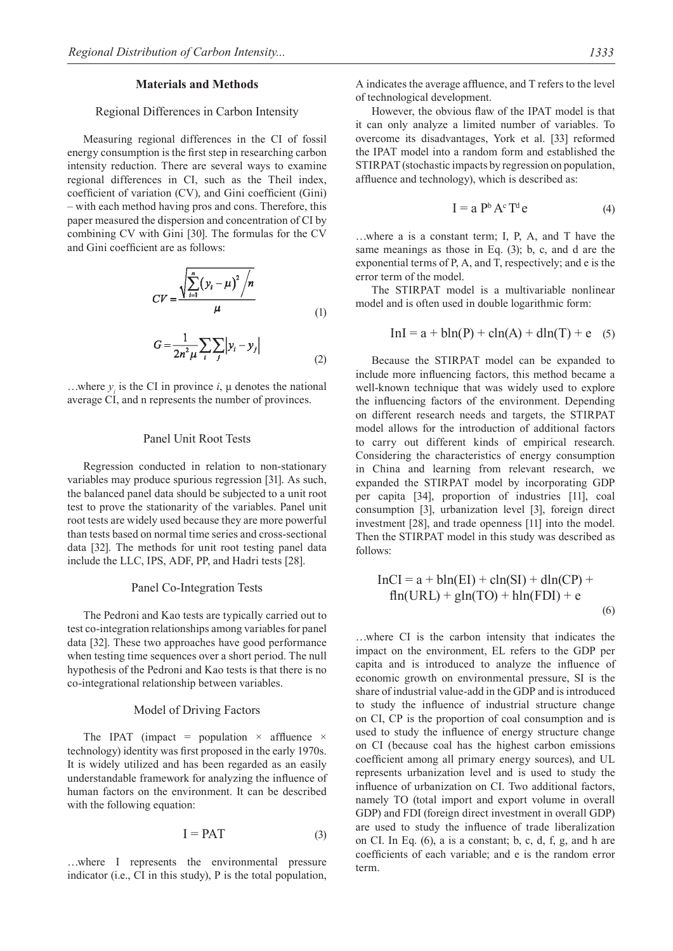#### **Materials and Methods**

#### Regional Differences in Carbon Intensity

Measuring regional differences in the CI of fossil energy consumption is the first step in researching carbon intensity reduction. There are several ways to examine regional differences in CI, such as the Theil index, coefficient of variation (CV), and Gini coefficient (Gini) – with each method having pros and cons. Therefore, this paper measured the dispersion and concentration of CI by combining CV with Gini [30]. The formulas for the CV and Gini coefficient are as follows:

$$
CV = \frac{\sqrt{\sum_{i=1}^{n} (y_i - \mu)^2 / n}}{\mu}
$$
 (1)

$$
G = \frac{1}{2n^2\mu} \sum_{i} \sum_{j} \left| y_i - y_j \right| \tag{2}
$$

...where  $y_i$  is the CI in province  $i$ ,  $\mu$  denotes the national average CI, and n represents the number of provinces.

## Panel Unit Root Tests

Regression conducted in relation to non-stationary variables may produce spurious regression [31]. As such, the balanced panel data should be subjected to a unit root test to prove the stationarity of the variables. Panel unit root tests are widely used because they are more powerful than tests based on normal time series and cross-sectional data [32]. The methods for unit root testing panel data include the LLC, IPS, ADF, PP, and Hadri tests [28].

#### Panel Co-Integration Tests

The Pedroni and Kao tests are typically carried out to test co-integration relationships among variables for panel data [32]. These two approaches have good performance when testing time sequences over a short period. The null hypothesis of the Pedroni and Kao tests is that there is no co-integrational relationship between variables.

#### Model of Driving Factors

The IPAT (impact = population  $\times$  affluence  $\times$ technology) identity was first proposed in the early 1970s. It is widely utilized and has been regarded as an easily understandable framework for analyzing the influence of human factors on the environment. It can be described with the following equation:

$$
I = PAT \t\t(3)
$$

…where I represents the environmental pressure indicator (i.e., CI in this study), P is the total population, A indicates the average affluence, and T refers to the level of technological development.

However, the obvious flaw of the IPAT model is that it can only analyze a limited number of variables. To overcome its disadvantages, York et al. [33] reformed the IPAT model into a random form and established the STIRPAT (stochastic impacts by regression on population, affluence and technology), which is described as:

$$
I = a Pb Ac Td e
$$
 (4)

…where a is a constant term; I, P, A, and T have the same meanings as those in Eq. (3); b, c, and d are the exponential terms of P, A, and T, respectively; and e is the error term of the model.

The STIRPAT model is a multivariable nonlinear model and is often used in double logarithmic form:

$$
In I = a + bln(P) + cln(A) + dln(T) + e \quad (5)
$$

Because the STIRPAT model can be expanded to include more influencing factors, this method became a well-known technique that was widely used to explore the influencing factors of the environment. Depending on different research needs and targets, the STIRPAT model allows for the introduction of additional factors to carry out different kinds of empirical research. Considering the characteristics of energy consumption in China and learning from relevant research, we expanded the STIRPAT model by incorporating GDP per capita [34], proportion of industries [11], coal consumption [3], urbanization level [3], foreign direct investment [28], and trade openness [11] into the model. Then the STIRPAT model in this study was described as follows:

$$
InCI = a + bln(EI) + ch(SI) + dln(CP) +\nfln(URL) + gln(TO) + hln(FDI) + e
$$
\n(6)

…where CI is the carbon intensity that indicates the impact on the environment, EL refers to the GDP per capita and is introduced to analyze the influence of economic growth on environmental pressure, SI is the share of industrial value-add in the GDP and is introduced to study the influence of industrial structure change on CI, CP is the proportion of coal consumption and is used to study the influence of energy structure change on CI (because coal has the highest carbon emissions coefficient among all primary energy sources), and UL represents urbanization level and is used to study the influence of urbanization on CI. Two additional factors, namely TO (total import and export volume in overall GDP) and FDI (foreign direct investment in overall GDP) are used to study the influence of trade liberalization on CI. In Eq. (6), a is a constant; b, c, d, f, g, and h are coefficients of each variable; and e is the random error term.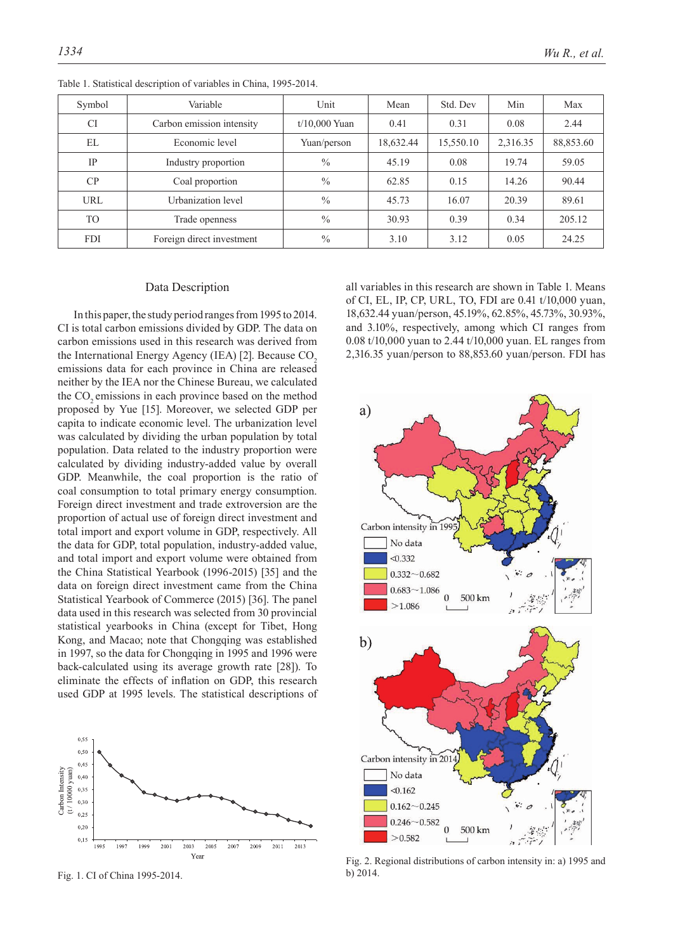| Symbol         | Variable                  | Unit            | Mean      | Std. Dev  | Min      | Max       |
|----------------|---------------------------|-----------------|-----------|-----------|----------|-----------|
| <b>CI</b>      | Carbon emission intensity | $t/10.000$ Yuan | 0.41      | 0.31      | 0.08     | 2.44      |
| EL             | Economic level            | Yuan/person     | 18,632.44 | 15,550.10 | 2,316.35 | 88,853.60 |
| IP             | Industry proportion       | $\frac{0}{0}$   | 45.19     | 0.08      | 19.74    | 59.05     |
| CP             | Coal proportion           | $\frac{0}{0}$   | 62.85     | 0.15      | 14.26    | 90.44     |
| <b>URL</b>     | Urbanization level        | $\frac{0}{0}$   | 45.73     | 16.07     | 20.39    | 89.61     |
| T <sub>O</sub> | Trade openness            | $\frac{0}{0}$   | 30.93     | 0.39      | 0.34     | 205.12    |
| <b>FDI</b>     | Foreign direct investment | $\frac{0}{0}$   | 3.10      | 3.12      | 0.05     | 24.25     |

Table 1. Statistical description of variables in China, 1995-2014.

#### Data Description

In this paper, the study period ranges from 1995 to 2014. CI is total carbon emissions divided by GDP. The data on carbon emissions used in this research was derived from the International Energy Agency (IEA) [2]. Because  $CO<sub>2</sub>$ emissions data for each province in China are released neither by the IEA nor the Chinese Bureau, we calculated the CO<sub>2</sub> emissions in each province based on the method proposed by Yue [15]. Moreover, we selected GDP per capita to indicate economic level. The urbanization level was calculated by dividing the urban population by total population. Data related to the industry proportion were calculated by dividing industry-added value by overall GDP. Meanwhile, the coal proportion is the ratio of coal consumption to total primary energy consumption. Foreign direct investment and trade extroversion are the proportion of actual use of foreign direct investment and total import and export volume in GDP, respectively. All the data for GDP, total population, industry-added value, and total import and export volume were obtained from the China Statistical Yearbook (1996-2015) [35] and the data on foreign direct investment came from the China Statistical Yearbook of Commerce (2015) [36]. The panel data used in this research was selected from 30 provincial statistical yearbooks in China (except for Tibet, Hong Kong, and Macao; note that Chongqing was established in 1997, so the data for Chongqing in 1995 and 1996 were back-calculated using its average growth rate [28]). To eliminate the effects of inflation on GDP, this research used GDP at 1995 levels. The statistical descriptions of



Fig. 1. CI of China 1995-2014.

all variables in this research are shown in Table 1. Means of CI, EL, IP, CP, URL, TO, FDI are 0.41 t/10,000 yuan, 18,632.44 yuan/person, 45.19%, 62.85%, 45.73%, 30.93%, and 3.10%, respectively, among which CI ranges from 0.08 t/10,000 yuan to 2.44 t/10,000 yuan. EL ranges from 2,316.35 yuan/person to 88,853.60 yuan/person. FDI has



Fig. 2. Regional distributions of carbon intensity in: a) 1995 and b) 2014.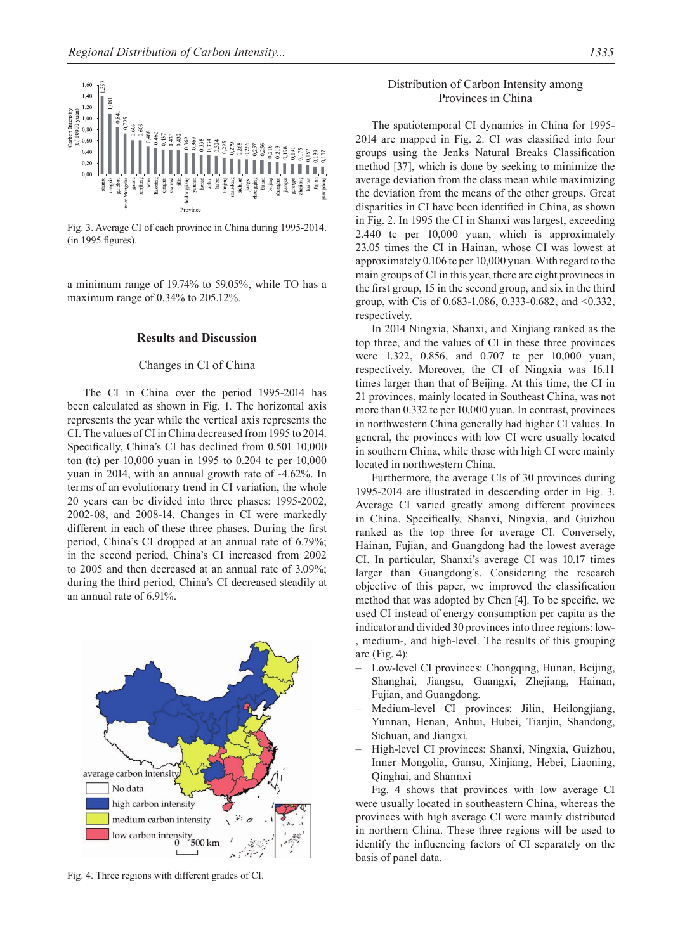

Fig. 3. Average CI of each province in China during 1995-2014. (in 1995 figures).

a minimum range of 19.74% to 59.05%, while TO has a maximum range of 0.34% to 205.12%.

## **Results and Discussion**

# Changes in CI of China

The CI in China over the period 1995-2014 has been calculated as shown in Fig. 1. The horizontal axis represents the year while the vertical axis represents the CI. The values of CI in China decreased from 1995 to 2014. Specifically, China's CI has declined from 0.501 10,000 ton (tc) per 10,000 yuan in 1995 to 0.204 tc per 10,000 yuan in 2014, with an annual growth rate of -4.62%. In terms of an evolutionary trend in CI variation, the whole 20 years can be divided into three phases: 1995-2002, 2002-08, and 2008-14. Changes in CI were markedly different in each of these three phases. During the first period, China's CI dropped at an annual rate of 6.79%; in the second period, China's CI increased from 2002 to 2005 and then decreased at an annual rate of 3.09%; during the third period, China's CI decreased steadily at an annual rate of 6.91%.



Fig. 4. Three regions with different grades of CI.

# Distribution of Carbon Intensity among Provinces in China

The spatiotemporal CI dynamics in China for 1995- 2014 are mapped in Fig. 2. CI was classified into four groups using the Jenks Natural Breaks Classification method [37], which is done by seeking to minimize the average deviation from the class mean while maximizing the deviation from the means of the other groups. Great disparities in CI have been identified in China, as shown in Fig. 2. In 1995 the CI in Shanxi was largest, exceeding 2.440 tc per 10,000 yuan, which is approximately 23.05 times the CI in Hainan, whose CI was lowest at approximately 0.106 tc per 10,000 yuan. With regard to the main groups of CI in this year, there are eight provinces in the first group, 15 in the second group, and six in the third group, with Cis of 0.683-1.086, 0.333-0.682, and <0.332, respectively.

In 2014 Ningxia, Shanxi, and Xinjiang ranked as the top three, and the values of CI in these three provinces were 1.322, 0.856, and 0.707 tc per 10,000 yuan, respectively. Moreover, the CI of Ningxia was 16.11 times larger than that of Beijing. At this time, the CI in 21 provinces, mainly located in Southeast China, was not more than 0.332 tc per 10,000 yuan. In contrast, provinces in northwestern China generally had higher CI values. In general, the provinces with low CI were usually located in southern China, while those with high CI were mainly located in northwestern China.

Furthermore, the average CIs of 30 provinces during 1995-2014 are illustrated in descending order in Fig. 3. Average CI varied greatly among different provinces in China. Specifically, Shanxi, Ningxia, and Guizhou ranked as the top three for average CI. Conversely, Hainan, Fujian, and Guangdong had the lowest average CI. In particular, Shanxi's average CI was 10.17 times larger than Guangdong's. Considering the research objective of this paper, we improved the classification method that was adopted by Chen [4]. To be specific, we used CI instead of energy consumption per capita as the indicator and divided 30 provinces into three regions: low- , medium-, and high-level. The results of this grouping are (Fig. 4):

- Low-level CI provinces: Chongqing, Hunan, Beijing, Shanghai, Jiangsu, Guangxi, Zhejiang, Hainan, Fujian, and Guangdong.
- Medium-level CI provinces: Jilin, Heilongjiang, Yunnan, Henan, Anhui, Hubei, Tianjin, Shandong, Sichuan, and Jiangxi.
- High-level CI provinces: Shanxi, Ningxia, Guizhou, Inner Mongolia, Gansu, Xinjiang, Hebei, Liaoning, Qinghai, and Shannxi

Fig. 4 shows that provinces with low average CI were usually located in southeastern China, whereas the provinces with high average CI were mainly distributed in northern China. These three regions will be used to identify the influencing factors of CI separately on the basis of panel data.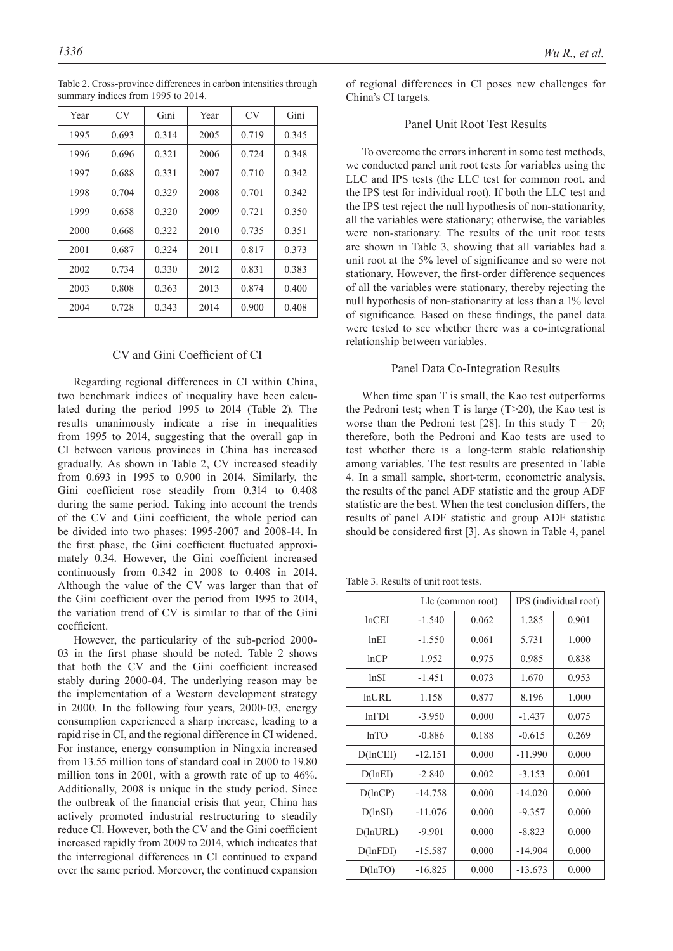| Year | CV <sub></sub> | Gini  | Year | CV    | Gini  |
|------|----------------|-------|------|-------|-------|
| 1995 | 0.693          | 0.314 | 2005 | 0.719 | 0.345 |
| 1996 | 0.696          | 0.321 | 2006 | 0.724 | 0.348 |
| 1997 | 0.688          | 0.331 | 2007 | 0.710 | 0.342 |
| 1998 | 0.704          | 0.329 | 2008 | 0.701 | 0.342 |
| 1999 | 0.658          | 0.320 | 2009 | 0.721 | 0.350 |
| 2000 | 0.668          | 0.322 | 2010 | 0.735 | 0.351 |
| 2001 | 0.687          | 0.324 | 2011 | 0.817 | 0.373 |
| 2002 | 0.734          | 0.330 | 2012 | 0.831 | 0.383 |
| 2003 | 0.808          | 0.363 | 2013 | 0.874 | 0.400 |
| 2004 | 0.728          | 0.343 | 2014 | 0.900 | 0.408 |

Table 2. Cross-province differences in carbon intensities through summary indices from 1995 to 2014.

# CV and Gini Coefficient of CI

Regarding regional differences in CI within China, two benchmark indices of inequality have been calculated during the period 1995 to 2014 (Table 2). The results unanimously indicate a rise in inequalities from 1995 to 2014, suggesting that the overall gap in CI between various provinces in China has increased gradually. As shown in Table 2, CV increased steadily from 0.693 in 1995 to 0.900 in 2014. Similarly, the Gini coefficient rose steadily from 0.314 to 0.408 during the same period. Taking into account the trends of the CV and Gini coefficient, the whole period can be divided into two phases: 1995-2007 and 2008-14. In the first phase, the Gini coefficient fluctuated approximately 0.34. However, the Gini coefficient increased continuously from 0.342 in 2008 to 0.408 in 2014. Although the value of the CV was larger than that of the Gini coefficient over the period from 1995 to 2014, the variation trend of CV is similar to that of the Gini coefficient.

However, the particularity of the sub-period 2000- 03 in the first phase should be noted. Table 2 shows that both the CV and the Gini coefficient increased stably during 2000-04. The underlying reason may be the implementation of a Western development strategy in 2000. In the following four years, 2000-03, energy consumption experienced a sharp increase, leading to a rapid rise in CI, and the regional difference in CI widened. For instance, energy consumption in Ningxia increased from 13.55 million tons of standard coal in 2000 to 19.80 million tons in 2001, with a growth rate of up to 46%. Additionally, 2008 is unique in the study period. Since the outbreak of the financial crisis that year, China has actively promoted industrial restructuring to steadily reduce CI. However, both the CV and the Gini coefficient increased rapidly from 2009 to 2014, which indicates that the interregional differences in CI continued to expand over the same period. Moreover, the continued expansion

of regional differences in CI poses new challenges for China's CI targets.

# Panel Unit Root Test Results

To overcome the errors inherent in some test methods, we conducted panel unit root tests for variables using the LLC and IPS tests (the LLC test for common root, and the IPS test for individual root). If both the LLC test and the IPS test reject the null hypothesis of non-stationarity, all the variables were stationary; otherwise, the variables were non-stationary. The results of the unit root tests are shown in Table 3, showing that all variables had a unit root at the 5% level of significance and so were not stationary. However, the first-order difference sequences of all the variables were stationary, thereby rejecting the null hypothesis of non-stationarity at less than a 1% level of significance. Based on these findings, the panel data were tested to see whether there was a co-integrational relationship between variables.

# Panel Data Co-Integration Results

When time span T is small, the Kao test outperforms the Pedroni test; when T is large  $(T>20)$ , the Kao test is worse than the Pedroni test [28]. In this study  $T = 20$ ; therefore, both the Pedroni and Kao tests are used to test whether there is a long-term stable relationship among variables. The test results are presented in Table 4. In a small sample, short-term, econometric analysis, the results of the panel ADF statistic and the group ADF statistic are the best. When the test conclusion differs, the results of panel ADF statistic and group ADF statistic should be considered first [3]. As shown in Table 4, panel

Table 3. Results of unit root tests.

|                |           | Lle (common root) | IPS (individual root) |       |  |
|----------------|-----------|-------------------|-----------------------|-------|--|
| lnCEI          | $-1.540$  | 0.062             | 1.285                 | 0.901 |  |
| lnEI           | $-1.550$  | 0.061             | 5.731                 | 1.000 |  |
| lnCP           | 1.952     | 0.975             | 0.985                 | 0.838 |  |
| ln SI          | $-1.451$  | 0.073             | 1.670                 | 0.953 |  |
| <b>lnURL</b>   | 1.158     | 0.877             | 8.196                 | 1.000 |  |
| lnFDI          | $-3.950$  | 0.000             | $-1.437$              | 0.075 |  |
| lnTO           | $-0.886$  | 0.188             | $-0.615$              | 0.269 |  |
| $D($ lnCEI $)$ | $-12.151$ | 0.000             | $-11.990$             | 0.000 |  |
| D(lnEI)        | $-2.840$  | 0.002             | $-3.153$              | 0.001 |  |
| D(lnCP)        | $-14.758$ | 0.000             | $-14.020$             | 0.000 |  |
| D(lnSI)        | $-11.076$ | 0.000             | $-9.357$              | 0.000 |  |
| D(lnURL)       | $-9.901$  | 0.000             | $-8.823$              | 0.000 |  |
| D(lnFDI)       | $-15.587$ | 0.000             | $-14.904$             | 0.000 |  |
| D(lnTO)        | $-16.825$ | 0.000             | $-13.673$             | 0.000 |  |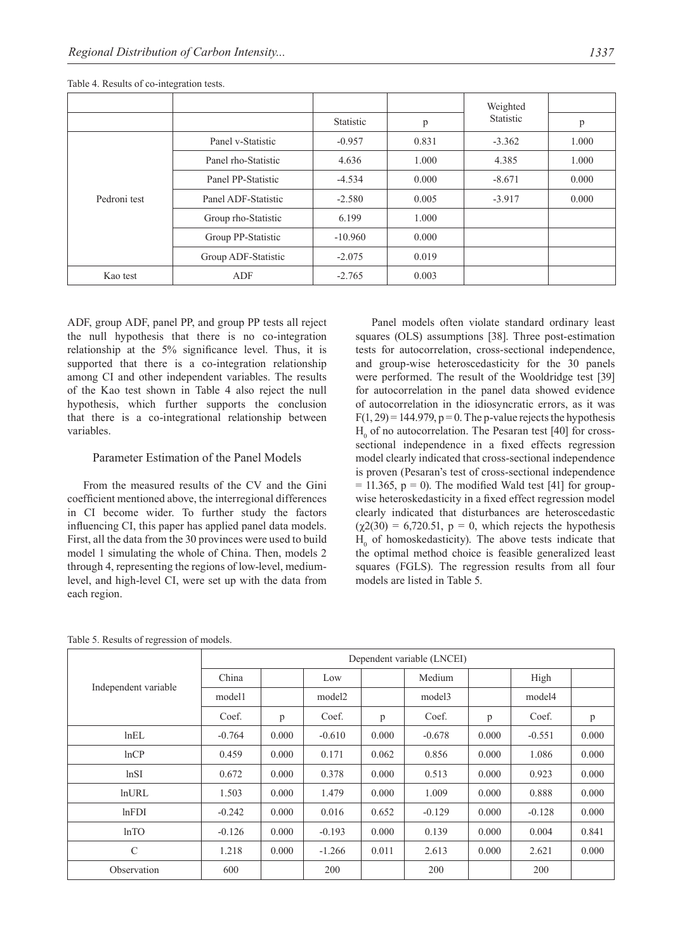|              |                     |           |       | Weighted  |       |
|--------------|---------------------|-----------|-------|-----------|-------|
|              |                     | Statistic | p     | Statistic | p     |
| Pedroni test | Panel v-Statistic   | $-0.957$  | 0.831 | $-3.362$  | 1.000 |
|              | Panel rho-Statistic | 4.636     | 1.000 | 4.385     | 1.000 |
|              | Panel PP-Statistic  | $-4.534$  | 0.000 | $-8.671$  | 0.000 |
|              | Panel ADF-Statistic | $-2.580$  | 0.005 | $-3.917$  | 0.000 |
|              | Group rho-Statistic | 6.199     | 1.000 |           |       |
|              | Group PP-Statistic  | $-10.960$ | 0.000 |           |       |
|              | Group ADF-Statistic | $-2.075$  | 0.019 |           |       |
| Kao test     | ADF                 | $-2.765$  | 0.003 |           |       |

Table 4. Results of co-integration tests.

ADF, group ADF, panel PP, and group PP tests all reject the null hypothesis that there is no co-integration relationship at the 5% significance level. Thus, it is supported that there is a co-integration relationship among CI and other independent variables. The results of the Kao test shown in Table 4 also reject the null hypothesis, which further supports the conclusion that there is a co-integrational relationship between variables.

# Parameter Estimation of the Panel Models

From the measured results of the CV and the Gini coefficient mentioned above, the interregional differences in CI become wider. To further study the factors influencing CI, this paper has applied panel data models. First, all the data from the 30 provinces were used to build model 1 simulating the whole of China. Then, models 2 through 4, representing the regions of low-level, mediumlevel, and high-level CI, were set up with the data from each region.

Panel models often violate standard ordinary least squares (OLS) assumptions [38]. Three post-estimation tests for autocorrelation, cross-sectional independence, and group-wise heteroscedasticity for the 30 panels were performed. The result of the Wooldridge test [39] for autocorrelation in the panel data showed evidence of autocorrelation in the idiosyncratic errors, as it was  $F(1, 29) = 144.979$ ,  $p = 0$ . The p-value rejects the hypothesis  $H<sub>0</sub>$  of no autocorrelation. The Pesaran test [40] for crosssectional independence in a fixed effects regression model clearly indicated that cross-sectional independence is proven (Pesaran's test of cross-sectional independence  $= 11.365$ ,  $p = 0$ ). The modified Wald test [41] for groupwise heteroskedasticity in a fixed effect regression model clearly indicated that disturbances are heteroscedastic  $(\gamma 2(30) = 6,720.51, p = 0,$  which rejects the hypothesis  $H<sub>0</sub>$  of homoskedasticity). The above tests indicate that the optimal method choice is feasible generalized least squares (FGLS). The regression results from all four models are listed in Table 5.

|                      | Dependent variable (LNCEI) |       |          |       |          |       |          |       |
|----------------------|----------------------------|-------|----------|-------|----------|-------|----------|-------|
|                      | China                      |       | Low      |       | Medium   |       | High     |       |
| Independent variable | model1                     |       | model2   |       | model3   |       | model4   |       |
|                      | Coef.                      | p     | Coef.    | p     | Coef.    | p     | Coef.    | p     |
| lnEL                 | $-0.764$                   | 0.000 | $-0.610$ | 0.000 | $-0.678$ | 0.000 | $-0.551$ | 0.000 |
| lnCP                 | 0.459                      | 0.000 | 0.171    | 0.062 | 0.856    | 0.000 | 1.086    | 0.000 |
| ln SI                | 0.672                      | 0.000 | 0.378    | 0.000 | 0.513    | 0.000 | 0.923    | 0.000 |
| <b>lnURL</b>         | 1.503                      | 0.000 | 1.479    | 0.000 | 1.009    | 0.000 | 0.888    | 0.000 |
| lnFDI                | $-0.242$                   | 0.000 | 0.016    | 0.652 | $-0.129$ | 0.000 | $-0.128$ | 0.000 |
| lnTO                 | $-0.126$                   | 0.000 | $-0.193$ | 0.000 | 0.139    | 0.000 | 0.004    | 0.841 |
| $\mathcal{C}$        | 1.218                      | 0.000 | $-1.266$ | 0.011 | 2.613    | 0.000 | 2.621    | 0.000 |
| Observation          | 600                        |       | 200      |       | 200      |       | 200      |       |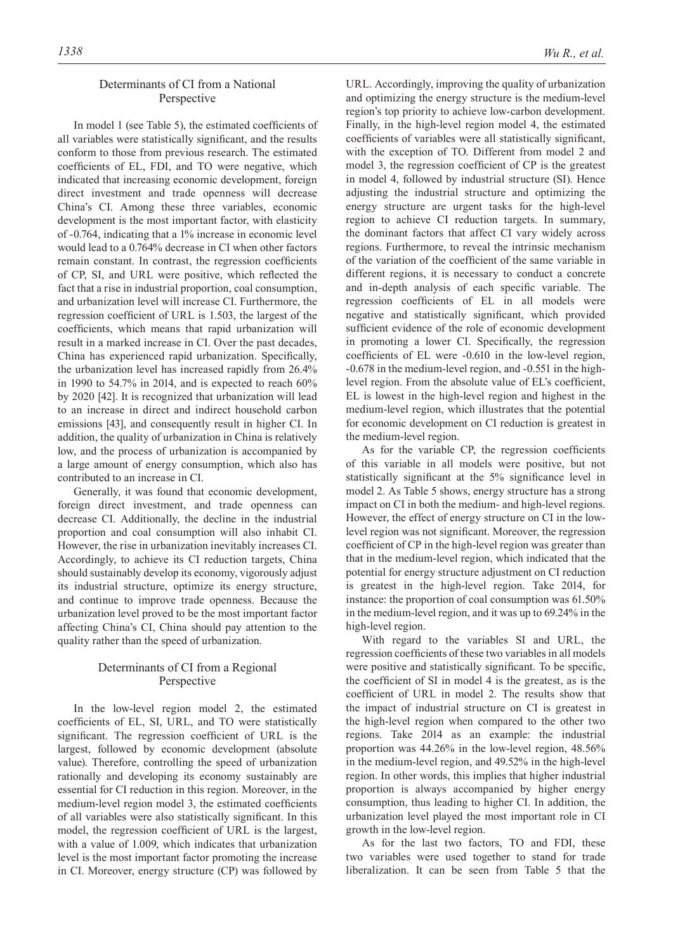# Determinants of CI from a National Perspective

In model 1 (see Table 5), the estimated coefficients of all variables were statistically significant, and the results conform to those from previous research. The estimated coefficients of EL, FDI, and TO were negative, which indicated that increasing economic development, foreign direct investment and trade openness will decrease China's CI. Among these three variables, economic development is the most important factor, with elasticity of -0.764, indicating that a 1% increase in economic level would lead to a 0.764% decrease in CI when other factors remain constant. In contrast, the regression coefficients of CP, SI, and URL were positive, which reflected the fact that a rise in industrial proportion, coal consumption, and urbanization level will increase CI. Furthermore, the regression coefficient of URL is 1.503, the largest of the coefficients, which means that rapid urbanization will result in a marked increase in CI. Over the past decades, China has experienced rapid urbanization. Specifically, the urbanization level has increased rapidly from 26.4% in 1990 to  $54.7\%$  in 2014, and is expected to reach  $60\%$ by 2020 [42]. It is recognized that urbanization will lead to an increase in direct and indirect household carbon emissions [43], and consequently result in higher CI. In addition, the quality of urbanization in China is relatively low, and the process of urbanization is accompanied by a large amount of energy consumption, which also has contributed to an increase in CI.

Generally, it was found that economic development, foreign direct investment, and trade openness can decrease CI. Additionally, the decline in the industrial proportion and coal consumption will also inhabit CI. However, the rise in urbanization inevitably increases CI. Accordingly, to achieve its CI reduction targets, China should sustainably develop its economy, vigorously adjust its industrial structure, optimize its energy structure, and continue to improve trade openness. Because the urbanization level proved to be the most important factor affecting China's CI, China should pay attention to the quality rather than the speed of urbanization.

# Determinants of CI from a Regional Perspective

In the low-level region model 2, the estimated coefficients of EL, SI, URL, and TO were statistically significant. The regression coefficient of URL is the largest, followed by economic development (absolute value). Therefore, controlling the speed of urbanization rationally and developing its economy sustainably are essential for CI reduction in this region. Moreover, in the medium-level region model 3, the estimated coefficients of all variables were also statistically significant. In this model, the regression coefficient of URL is the largest, with a value of 1.009, which indicates that urbanization level is the most important factor promoting the increase in CI. Moreover, energy structure (CP) was followed by

URL. Accordingly, improving the quality of urbanization and optimizing the energy structure is the medium-level region's top priority to achieve low-carbon development. Finally, in the high-level region model 4, the estimated coefficients of variables were all statistically significant, with the exception of TO. Different from model 2 and model 3, the regression coefficient of CP is the greatest in model 4, followed by industrial structure (SI). Hence adjusting the industrial structure and optimizing the energy structure are urgent tasks for the high-level region to achieve CI reduction targets. In summary, the dominant factors that affect CI vary widely across regions. Furthermore, to reveal the intrinsic mechanism of the variation of the coefficient of the same variable in different regions, it is necessary to conduct a concrete and in-depth analysis of each specific variable. The regression coefficients of EL in all models were negative and statistically significant, which provided sufficient evidence of the role of economic development in promoting a lower CI. Specifically, the regression coefficients of EL were -0.610 in the low-level region, -0.678 in the medium-level region, and -0.551 in the highlevel region. From the absolute value of EL's coefficient, EL is lowest in the high-level region and highest in the medium-level region, which illustrates that the potential for economic development on CI reduction is greatest in the medium-level region.

As for the variable CP, the regression coefficients of this variable in all models were positive, but not statistically significant at the 5% significance level in model 2. As Table 5 shows, energy structure has a strong impact on CI in both the medium- and high-level regions. However, the effect of energy structure on CI in the lowlevel region was not significant. Moreover, the regression coefficient of CP in the high-level region was greater than that in the medium-level region, which indicated that the potential for energy structure adjustment on CI reduction is greatest in the high-level region. Take 2014, for instance: the proportion of coal consumption was 61.50% in the medium-level region, and it was up to 69.24% in the high-level region.

With regard to the variables SI and URL, the regression coefficients of these two variables in all models were positive and statistically significant. To be specific, the coefficient of SI in model 4 is the greatest, as is the coefficient of URL in model 2. The results show that the impact of industrial structure on CI is greatest in the high-level region when compared to the other two regions. Take 2014 as an example: the industrial proportion was 44.26% in the low-level region, 48.56% in the medium-level region, and 49.52% in the high-level region. In other words, this implies that higher industrial proportion is always accompanied by higher energy consumption, thus leading to higher CI. In addition, the urbanization level played the most important role in CI growth in the low-level region.

As for the last two factors, TO and FDI, these two variables were used together to stand for trade liberalization. It can be seen from Table 5 that the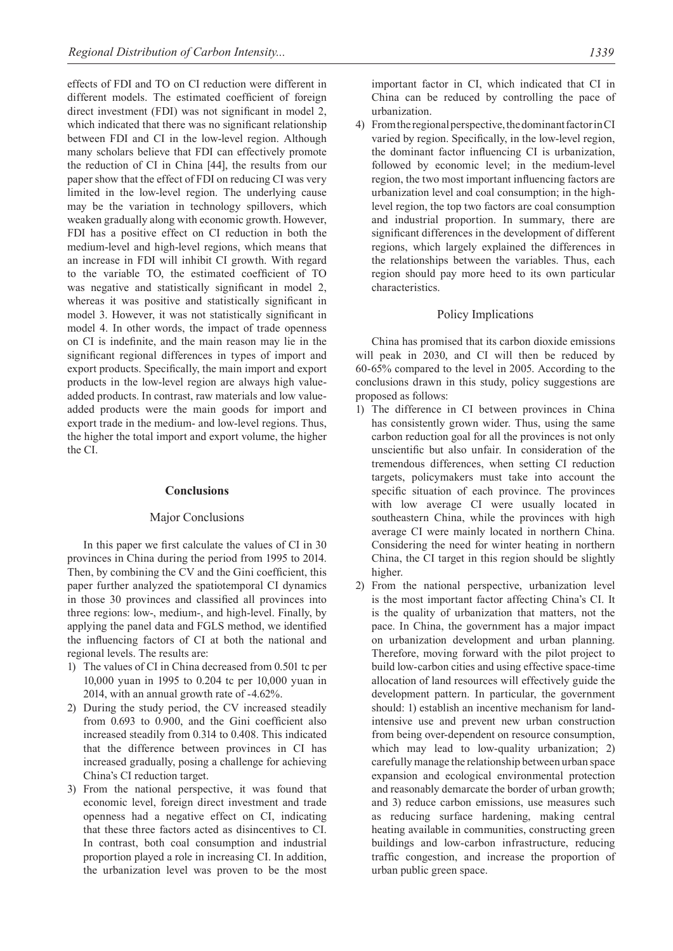effects of FDI and TO on CI reduction were different in different models. The estimated coefficient of foreign direct investment (FDI) was not significant in model 2, which indicated that there was no significant relationship between FDI and CI in the low-level region. Although many scholars believe that FDI can effectively promote the reduction of CI in China [44], the results from our paper show that the effect of FDI on reducing CI was very limited in the low-level region. The underlying cause may be the variation in technology spillovers, which weaken gradually along with economic growth. However, FDI has a positive effect on CI reduction in both the medium-level and high-level regions, which means that an increase in FDI will inhibit CI growth. With regard to the variable TO, the estimated coefficient of TO was negative and statistically significant in model 2, whereas it was positive and statistically significant in model 3. However, it was not statistically significant in model 4. In other words, the impact of trade openness on CI is indefinite, and the main reason may lie in the significant regional differences in types of import and export products. Specifically, the main import and export products in the low-level region are always high valueadded products. In contrast, raw materials and low valueadded products were the main goods for import and export trade in the medium- and low-level regions. Thus, the higher the total import and export volume, the higher the CI.

## **Conclusions**

## Major Conclusions

In this paper we first calculate the values of CI in 30 provinces in China during the period from 1995 to 2014. Then, by combining the CV and the Gini coefficient, this paper further analyzed the spatiotemporal CI dynamics in those 30 provinces and classified all provinces into three regions: low-, medium-, and high-level. Finally, by applying the panel data and FGLS method, we identified the influencing factors of CI at both the national and regional levels. The results are:

- 1) The values of CI in China decreased from 0.501 tc per 10,000 yuan in 1995 to 0.204 tc per 10,000 yuan in 2014, with an annual growth rate of -4.62%.
- 2) During the study period, the CV increased steadily from 0.693 to 0.900, and the Gini coefficient also increased steadily from 0.314 to 0.408. This indicated that the difference between provinces in CI has increased gradually, posing a challenge for achieving China's CI reduction target.
- 3) From the national perspective, it was found that economic level, foreign direct investment and trade openness had a negative effect on CI, indicating that these three factors acted as disincentives to CI. In contrast, both coal consumption and industrial proportion played a role in increasing CI. In addition, the urbanization level was proven to be the most

important factor in CI, which indicated that CI in China can be reduced by controlling the pace of urbanization.

4) From the regional perspective, the dominant factor in CI varied by region. Specifically, in the low-level region, the dominant factor influencing CI is urbanization, followed by economic level; in the medium-level region, the two most important influencing factors are urbanization level and coal consumption; in the highlevel region, the top two factors are coal consumption and industrial proportion. In summary, there are significant differences in the development of different regions, which largely explained the differences in the relationships between the variables. Thus, each region should pay more heed to its own particular characteristics.

## Policy Implications

China has promised that its carbon dioxide emissions will peak in 2030, and CI will then be reduced by 60-65% compared to the level in 2005. According to the conclusions drawn in this study, policy suggestions are proposed as follows:

- 1) The difference in CI between provinces in China has consistently grown wider. Thus, using the same carbon reduction goal for all the provinces is not only unscientific but also unfair. In consideration of the tremendous differences, when setting CI reduction targets, policymakers must take into account the specific situation of each province. The provinces with low average CI were usually located in southeastern China, while the provinces with high average CI were mainly located in northern China. Considering the need for winter heating in northern China, the CI target in this region should be slightly higher.
- 2) From the national perspective, urbanization level is the most important factor affecting China's CI. It is the quality of urbanization that matters, not the pace. In China, the government has a major impact on urbanization development and urban planning. Therefore, moving forward with the pilot project to build low-carbon cities and using effective space-time allocation of land resources will effectively guide the development pattern. In particular, the government should: 1) establish an incentive mechanism for landintensive use and prevent new urban construction from being over-dependent on resource consumption, which may lead to low-quality urbanization; 2) carefully manage the relationship between urban space expansion and ecological environmental protection and reasonably demarcate the border of urban growth; and 3) reduce carbon emissions, use measures such as reducing surface hardening, making central heating available in communities, constructing green buildings and low-carbon infrastructure, reducing traffic congestion, and increase the proportion of urban public green space.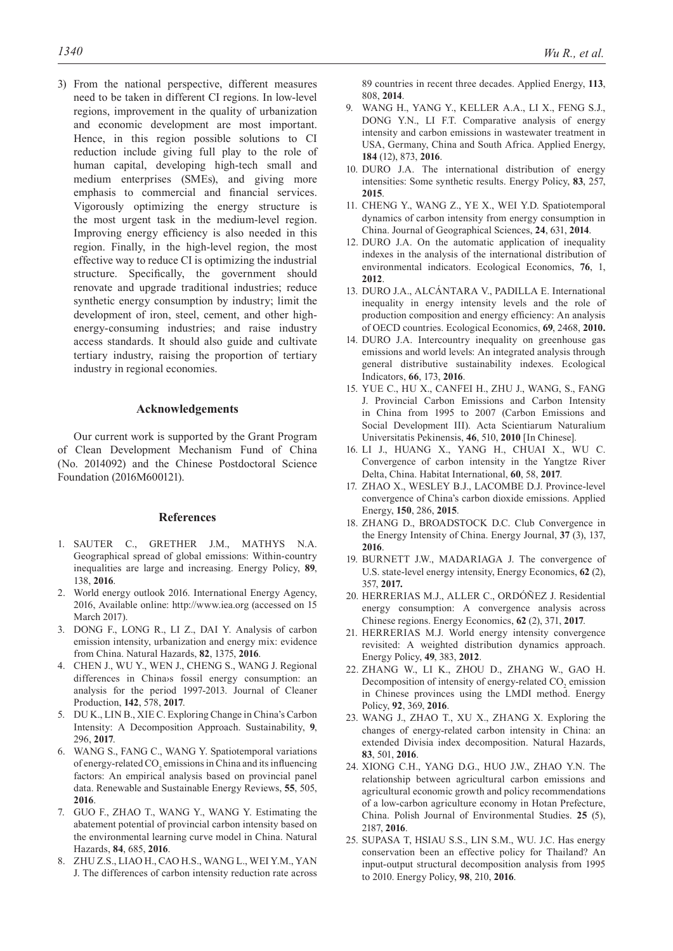3) From the national perspective, different measures need to be taken in different CI regions. In low-level regions, improvement in the quality of urbanization and economic development are most important. Hence, in this region possible solutions to CI reduction include giving full play to the role of human capital, developing high-tech small and medium enterprises (SMEs), and giving more emphasis to commercial and financial services. Vigorously optimizing the energy structure is the most urgent task in the medium-level region. Improving energy efficiency is also needed in this region. Finally, in the high-level region, the most effective way to reduce CI is optimizing the industrial structure. Specifically, the government should renovate and upgrade traditional industries; reduce synthetic energy consumption by industry; limit the development of iron, steel, cement, and other highenergy-consuming industries; and raise industry access standards. It should also guide and cultivate tertiary industry, raising the proportion of tertiary industry in regional economies.

## **Acknowledgements**

Our current work is supported by the Grant Program of Clean Development Mechanism Fund of China (No. 2014092) and the Chinese Postdoctoral Science Foundation (2016M600121).

# **References**

- 1. SAUTER C., GRETHER J.M., MATHYS N.A. Geographical spread of global emissions: Within-country inequalities are large and increasing. Energy Policy, **89**, 138, **2016**.
- 2. World energy outlook 2016. International Energy Agency, 2016, Available online: http://www.iea.org (accessed on 15 March 2017).
- 3. DONG F., LONG R., LI Z., DAI Y. Analysis of carbon emission intensity, urbanization and energy mix: evidence from China. Natural Hazards, **82**, 1375, **2016**.
- 4. CHEN J., WU Y., WEN J., CHENG S., WANG J. Regional differences in China›s fossil energy consumption: an analysis for the period 1997-2013. Journal of Cleaner Production, **142**, 578, **2017**.
- 5. DU K., LIN B., XIE C. Exploring Change in China's Carbon Intensity: A Decomposition Approach. Sustainability, **9**, 296, **2017**.
- 6. WANG S., FANG C., WANG Y. Spatiotemporal variations of energy-related  $CO_2$  emissions in China and its influencing factors: An empirical analysis based on provincial panel data. Renewable and Sustainable Energy Reviews, **55**, 505, **2016**.
- 7. GUO F., ZHAO T., WANG Y., WANG Y. Estimating the abatement potential of provincial carbon intensity based on the environmental learning curve model in China. Natural Hazards, **84**, 685, **2016**.
- 8. ZHU Z.S., LIAO H., CAO H.S., WANG L., WEI Y.M., YAN J. The differences of carbon intensity reduction rate across

89 countries in recent three decades. Applied Energy, **113**, 808, **2014**.

- 9. WANG H., YANG Y., KELLER A.A., LI X., FENG S.J., DONG Y.N., LI F.T. Comparative analysis of energy intensity and carbon emissions in wastewater treatment in USA, Germany, China and South Africa. Applied Energy, **184** (12), 873, **2016**.
- 10. DURO J.A. The international distribution of energy intensities: Some synthetic results. Energy Policy, **83**, 257, **2015**.
- 11. CHENG Y., WANG Z., YE X., WEI Y.D. Spatiotemporal dynamics of carbon intensity from energy consumption in China. Journal of Geographical Sciences, **24**, 631, **2014**.
- 12. DURO J.A. On the automatic application of inequality indexes in the analysis of the international distribution of environmental indicators. Ecological Economics, **76**, 1, **2012**.
- 13. DURO J.A., ALCÁNTARA V., PADILLA E. International inequality in energy intensity levels and the role of production composition and energy efficiency: An analysis of OECD countries. Ecological Economics, **69**, 2468, **2010.**
- 14. DURO J.A. Intercountry inequality on greenhouse gas emissions and world levels: An integrated analysis through general distributive sustainability indexes. Ecological Indicators, **66**, 173, **2016**.
- 15. YUE C., HU X., CANFEI H., ZHU J., WANG, S., FANG J. Provincial Carbon Emissions and Carbon Intensity in China from 1995 to 2007 (Carbon Emissions and Social Development III). Acta Scientiarum Naturalium Universitatis Pekinensis, **46**, 510, **2010** [In Chinese].
- 16. LI J., HUANG X., YANG H., CHUAI X., WU C. Convergence of carbon intensity in the Yangtze River Delta, China. Habitat International, **60**, 58, **2017**.
- 17. ZHAO X., WESLEY B.J., LACOMBE D.J. Province-level convergence of China's carbon dioxide emissions. Applied Energy, **150**, 286, **2015**.
- 18. ZHANG D., BROADSTOCK D.C. Club Convergence in the Energy Intensity of China. Energy Journal, **37** (3), 137, **2016**.
- 19. BURNETT J.W., MADARIAGA J. The convergence of U.S. state-level energy intensity, Energy Economics, **62** (2), 357, **2017.**
- 20. HERRERIAS M.J., ALLER C., ORDÓÑEZ J. Residential energy consumption: A convergence analysis across Chinese regions. Energy Economics, **62** (2), 371, **2017**.
- 21. HERRERIAS M.J. World energy intensity convergence revisited: A weighted distribution dynamics approach. Energy Policy, **49**, 383, **2012**.
- 22. ZHANG W., LI K., ZHOU D., ZHANG W., GAO H. Decomposition of intensity of energy-related  $CO<sub>2</sub>$  emission in Chinese provinces using the LMDI method. Energy Policy, **92**, 369, **2016**.
- 23. WANG J., ZHAO T., XU X., ZHANG X. Exploring the changes of energy-related carbon intensity in China: an extended Divisia index decomposition. Natural Hazards, **83**, 501, **2016**.
- 24. XIONG C.H., YANG D.G., HUO J.W., ZHAO Y.N. The relationship between agricultural carbon emissions and agricultural economic growth and policy recommendations of a low-carbon agriculture economy in Hotan Prefecture, China. Polish Journal of Environmental Studies. **25** (5), 2187, **2016**.
- 25. SUPASA T, HSIAU S.S., LIN S.M., WU. J.C. Has energy conservation been an effective policy for Thailand? An input-output structural decomposition analysis from 1995 to 2010. Energy Policy, **98**, 210, **2016**.